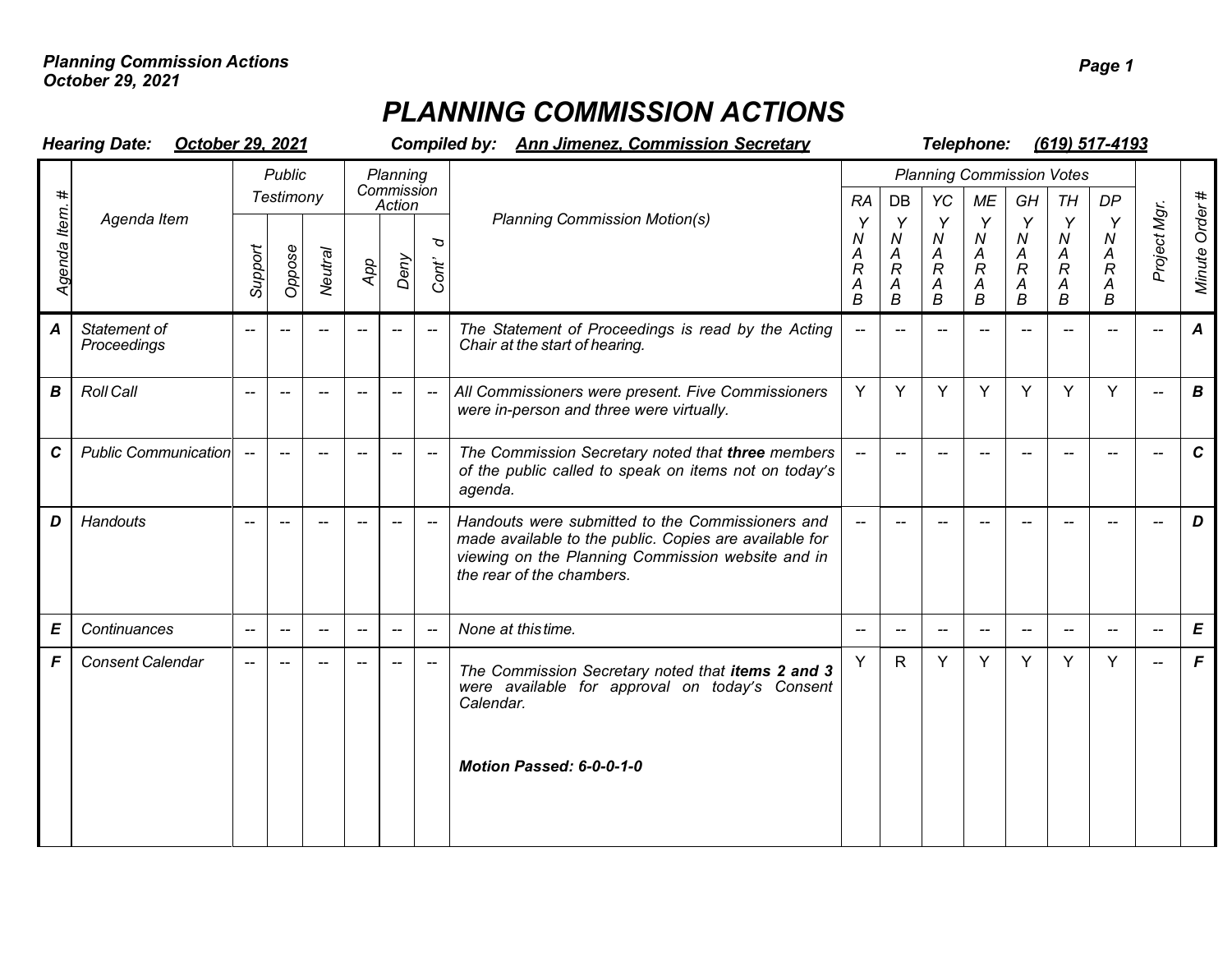## *PLANNING COMMISSION ACTIONS*

| <b>Hearing Date:</b><br>October 29, 2021 |                             |                            |                          |                                     |                                  |                          |                          | <b>Compiled by: Ann Jimenez. Commission Secretary</b>                                                                                                                                        | Telephone:<br>(619) 517-4193            |                                        |                                           |                                                       |                                                 |                                                                       |                                                                         |                                     |                  |
|------------------------------------------|-----------------------------|----------------------------|--------------------------|-------------------------------------|----------------------------------|--------------------------|--------------------------|----------------------------------------------------------------------------------------------------------------------------------------------------------------------------------------------|-----------------------------------------|----------------------------------------|-------------------------------------------|-------------------------------------------------------|-------------------------------------------------|-----------------------------------------------------------------------|-------------------------------------------------------------------------|-------------------------------------|------------------|
| ltem.<br>Agenda                          | Agenda Item                 | <b>Public</b><br>Testimony |                          |                                     | Planning<br>Commission<br>Action |                          |                          |                                                                                                                                                                                              | <b>RA</b>                               | DB                                     | YC<br>МE                                  |                                                       | <b>Planning Commission Votes</b><br>GH<br>TН    |                                                                       | <b>DP</b>                                                               |                                     |                  |
|                                          |                             | Support                    | Oppose                   | Neutral                             | App                              | Deny                     | p<br>Cont'               | <b>Planning Commission Motion(s)</b>                                                                                                                                                         | Υ<br>Ν<br>A<br>$\overline{R}$<br>A<br>B | Y<br>N<br>A<br>$\mathcal{R}$<br>Α<br>B | Y<br>N<br>A<br>$\boldsymbol{R}$<br>A<br>B | Y<br>N<br>$\boldsymbol{A}$<br>$\mathcal{R}$<br>А<br>B | Y<br>${\cal N}$<br>A<br>$\mathcal{R}$<br>Α<br>B | Y<br>N<br>$\boldsymbol{A}$<br>$\overline{R}$<br>$\boldsymbol{A}$<br>B | Y<br>N<br>A<br>$\boldsymbol{R}$<br>$\boldsymbol{A}$<br>$\boldsymbol{B}$ | Project Mgr.                        | Minute Order#    |
| A                                        | Statement of<br>Proceedings | $-$                        |                          |                                     | $-$                              | $-$                      |                          | The Statement of Proceedings is read by the Acting<br>Chair at the start of hearing.                                                                                                         | $\overline{\phantom{a}}$                | $-$                                    | $-$                                       | $-$                                                   | --                                              | $-$                                                                   | $-$                                                                     |                                     | $\boldsymbol{A}$ |
| B                                        | <b>Roll Call</b>            |                            | $\overline{\phantom{a}}$ |                                     | $\overline{\phantom{a}}$         | $\overline{\phantom{a}}$ | $\overline{\phantom{0}}$ | All Commissioners were present. Five Commissioners<br>were in-person and three were virtually.                                                                                               | Y                                       | Y                                      | Υ                                         | Y                                                     | Y                                               | Y                                                                     | Y                                                                       |                                     | $\boldsymbol{B}$ |
| $\mathbf c$                              | <b>Public Communication</b> |                            |                          |                                     |                                  | $\overline{\phantom{a}}$ | $\overline{\phantom{0}}$ | The Commission Secretary noted that three members<br>of the public called to speak on items not on today's<br>agenda.                                                                        |                                         | $\overline{\phantom{0}}$               |                                           |                                                       |                                                 |                                                                       |                                                                         |                                     | $\mathbf{C}$     |
| D                                        | Handouts                    |                            |                          |                                     |                                  |                          |                          | Handouts were submitted to the Commissioners and<br>made available to the public. Copies are available for<br>viewing on the Planning Commission website and in<br>the rear of the chambers. | $\overline{\phantom{m}}$                |                                        |                                           |                                                       |                                                 |                                                                       |                                                                         |                                     | D                |
| E                                        | Continuances                | $\overline{\phantom{a}}$   | $\overline{\phantom{a}}$ | $\hspace{0.05cm}$ $\hspace{0.05cm}$ | $\overline{\phantom{a}}$         | $\overline{\phantom{a}}$ | $\overline{\phantom{a}}$ | None at this time.                                                                                                                                                                           | $\overline{\phantom{a}}$                | $\hspace{0.05cm}$ $\hspace{0.05cm}$    | $\overline{\phantom{a}}$                  | $\hspace{0.05cm}$ $\hspace{0.05cm}$                   | --                                              | $\overline{\phantom{a}}$                                              | $- -$                                                                   | $\hspace{0.05cm}$ $\hspace{0.05cm}$ | $\pmb{E}$        |
| F                                        | <b>Consent Calendar</b>     |                            |                          |                                     |                                  |                          |                          | The Commission Secretary noted that items 2 and 3<br>were available for approval on today's Consent<br>Calendar.<br>Motion Passed: 6-0-0-1-0                                                 | Y                                       | $\mathsf{R}$                           | Y                                         | Y                                                     | Y                                               | Y                                                                     | Y                                                                       | $-$                                 | $\mathsf{F}$     |
|                                          |                             |                            |                          |                                     |                                  |                          |                          |                                                                                                                                                                                              |                                         |                                        |                                           |                                                       |                                                 |                                                                       |                                                                         |                                     |                  |